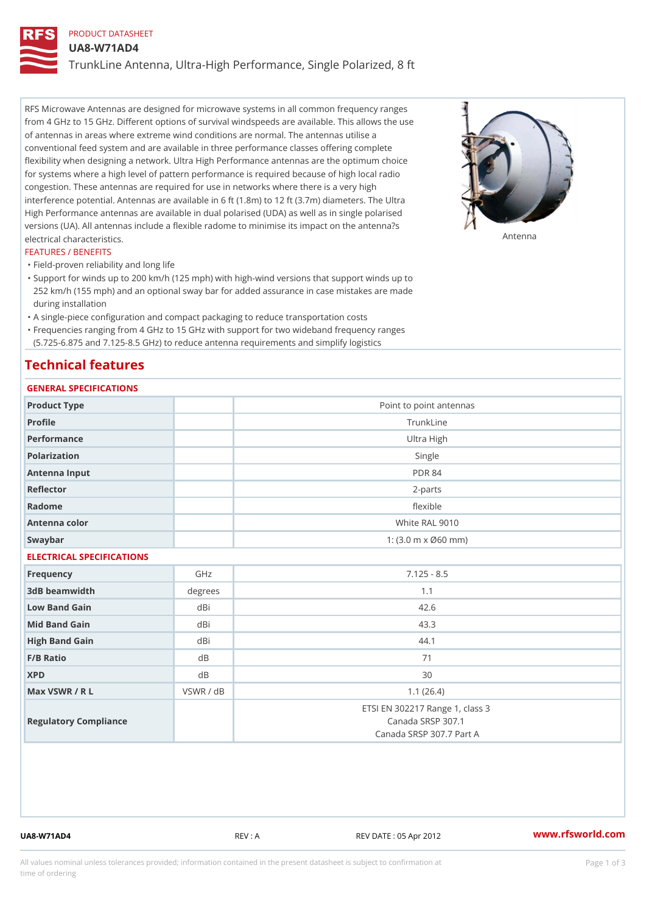# PRODUCT DATASHEET

UA8-W71AD4

TrunkLine Antenna, Ultra-High Performance, Single Polarized, 8 ft

RFS Microwave Antennas are designed for microwave systems in all common frequency ranges from 4 GHz to 15 GHz. Different options of survival windspeeds are available. This allows the use of antennas in areas where extreme wind conditions are normal. The antennas utilise a conventional feed system and are available in three performance classes offering complete flexibility when designing a network. Ultra High Performance antennas are the optimum choice for systems where a high level of pattern performance is required because of high local radio congestion. These antennas are required for use in networks where there is a very high interference potential. Antennas are available in 6 ft (1.8m) to 12 ft (3.7m) diameters. The Ultra High Performance antennas are available in dual polarised (UDA) as well as in single polarised versions (UA). All antennas include a flexible radome to minimise its impact on the antenna?s electrical characteristics. Antenna

#### FEATURES / BENEFITS

"Field-proven reliability and long life

- Support for winds up to 200 km/h (125 mph) with high-wind versions that support winds up to " 252 km/h (155 mph) and an optional sway bar for added assurance in case mistakes are made during installation
- "A single-piece configuration and compact packaging to reduce transportation costs
- Frequencies ranging from 4 GHz to 15 GHz with support for two wideband frequency ranges "
- (5.725-6.875 and 7.125-8.5 GHz) to reduce antenna requirements and simplify logistics

# Technical features

# GENERAL SPECIFICATIONS

| OLIVERAL OF LUIFIUA I IUNO |           |                                                                                  |  |  |
|----------------------------|-----------|----------------------------------------------------------------------------------|--|--|
| Product Type               |           | Point to point antennas                                                          |  |  |
| Profile                    |           | TrunkLine                                                                        |  |  |
| Performance                |           | Ultra High                                                                       |  |  |
| Polarization               |           | Single                                                                           |  |  |
| Antenna Input              |           | <b>PDR 84</b>                                                                    |  |  |
| Reflector                  |           | $2 - p$ arts                                                                     |  |  |
| Radome                     |           | flexible                                                                         |  |  |
| Antenna color              |           | White RAL 9010                                                                   |  |  |
| Swaybar                    |           | 1: $(3.0 \, \text{m} \times \emptyset 60 \, \text{mm})$                          |  |  |
| ELECTRICAL SPECIFICATIONS  |           |                                                                                  |  |  |
| Frequency                  | GHz       | $7.125 - 8.5$                                                                    |  |  |
| 3dB beamwidth              | degree:   | 1.1                                                                              |  |  |
| Low Band Gain              | dBi       | 42.6                                                                             |  |  |
| Mid Band Gain              | dBi       | 43.3                                                                             |  |  |
| High Band Gain             | dBi       | 44.1                                                                             |  |  |
| $F/B$ Ratio                | d B       | 71                                                                               |  |  |
| <b>XPD</b>                 | d B       | 30                                                                               |  |  |
| Max VSWR / R L             | VSWR / dB | 1.1(26.4)                                                                        |  |  |
| Regulatory Compliance      |           | ETSI EN 302217 Range 1, class 3<br>Canada SRSP 307.1<br>Canada SRSP 307.7 Part A |  |  |

UA8-W71AD4 REV : A REV DATE : 05 Apr 2012 [www.](https://www.rfsworld.com)rfsworld.com

All values nominal unless tolerances provided; information contained in the present datasheet is subject to Pcapgeign mation time of ordering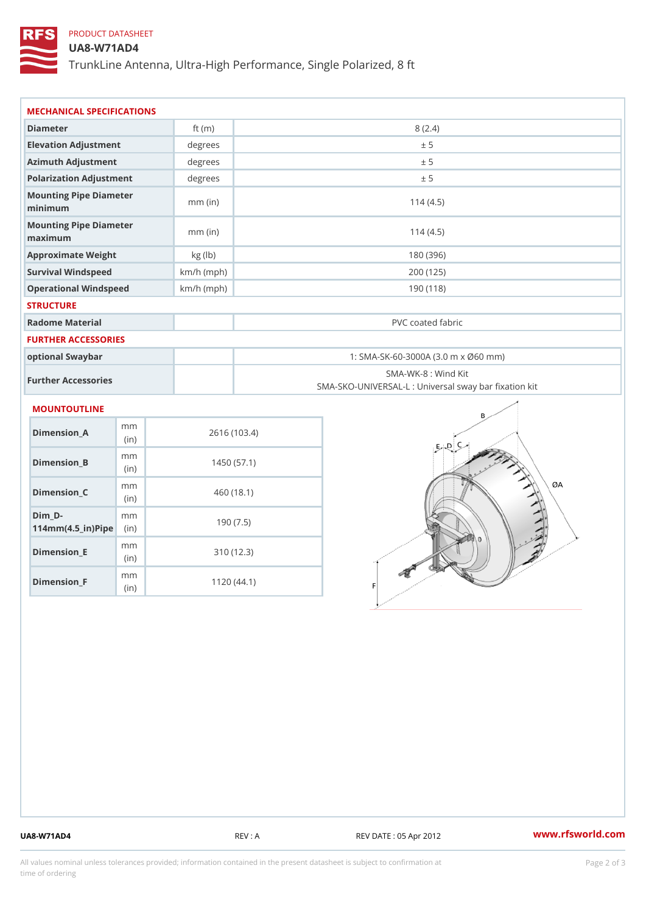# PRODUCT DATASHEET

## UA8-W71AD4

TrunkLine Antenna, Ultra-High Performance, Single Polarized, 8 ft

| MECHANICAL SPECIFICATIONS                                                       |              |                                                                          |
|---------------------------------------------------------------------------------|--------------|--------------------------------------------------------------------------|
| Diameter                                                                        | ft $(m)$     | 8(2.4)                                                                   |
| Elevation Adjustment                                                            | degrees      | ± 5                                                                      |
| Azimuth Adjustment                                                              | degrees      | ± 5                                                                      |
| Polarization Adjustment                                                         | degrees      | ± 5                                                                      |
| Mounting Pipe Diameter<br>minimum                                               | $mm$ (in)    | 114(4.5)                                                                 |
| Mounting Pipe Diameter<br>maximum                                               | $mm$ (in)    | 114(4.5)                                                                 |
| Approximate Weight                                                              | kg (lb)      | 180 (396)                                                                |
| Survival Windspeed                                                              | $km/h$ (mph) | 200 (125)                                                                |
| Operational Windspeed                                                           | $km/h$ (mph) | 190(118)                                                                 |
| <b>STRUCTURE</b>                                                                |              |                                                                          |
| Radome Material                                                                 |              | PVC coated fabric                                                        |
| <b>FURTHER ACCESSORIES</b>                                                      |              |                                                                          |
| optional Swaybar                                                                |              | 1: SMA-SK-60-3000A (3.0 m x Ø60 mm)                                      |
| Further Accessories                                                             |              | SMA-WK-8 : Wind Kit<br>SMA-SKO-UNIVERSAL-L : Universal sway bar fixation |
| MOUNTOUTLINE                                                                    |              |                                                                          |
| m m<br>$Dimension_A$<br>(in)                                                    |              | 2616 (103.4)                                                             |
| m m<br>$Dimension_B$<br>(in)                                                    |              | 1450(57.1)                                                               |
| m m<br>Dimension_C<br>(in)                                                      |              | 460 (18.1)                                                               |
| $Dim_D - D -$<br>m <sub>m</sub><br>$114$ m m (4.5 _ ir ) $\sqrt{$ imp $\approx$ |              | 190(7.5)                                                                 |

Dimension\_F m<sub>m</sub> (in) 1120 (44.1)

mm (in)

Dimension\_E

310 (12.3)

UA8-W71AD4 REV : A REV : A REV DATE : 05 Apr 2012 WWW.rfsworld.com